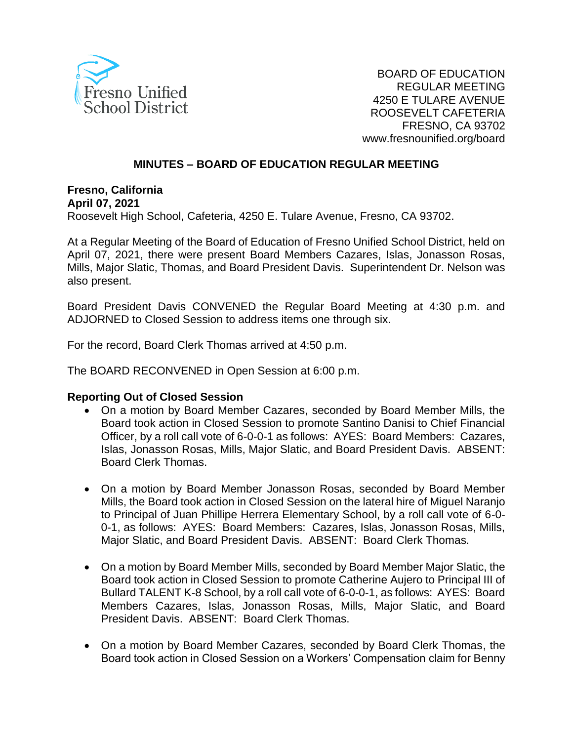

#### **MINUTES – BOARD OF EDUCATION REGULAR MEETING**

**Fresno, California April 07, 2021** Roosevelt High School, Cafeteria, 4250 E. Tulare Avenue, Fresno, CA 93702.

At a Regular Meeting of the Board of Education of Fresno Unified School District, held on April 07, 2021, there were present Board Members Cazares, Islas, Jonasson Rosas, Mills, Major Slatic, Thomas, and Board President Davis. Superintendent Dr. Nelson was also present.

Board President Davis CONVENED the Regular Board Meeting at 4:30 p.m. and ADJORNED to Closed Session to address items one through six.

For the record, Board Clerk Thomas arrived at 4:50 p.m.

The BOARD RECONVENED in Open Session at 6:00 p.m.

#### **Reporting Out of Closed Session**

- On a motion by Board Member Cazares, seconded by Board Member Mills, the Board took action in Closed Session to promote Santino Danisi to Chief Financial Officer, by a roll call vote of 6-0-0-1 as follows: AYES: Board Members: Cazares, Islas, Jonasson Rosas, Mills, Major Slatic, and Board President Davis. ABSENT: Board Clerk Thomas.
- On a motion by Board Member Jonasson Rosas, seconded by Board Member Mills, the Board took action in Closed Session on the lateral hire of Miguel Naranjo to Principal of Juan Phillipe Herrera Elementary School, by a roll call vote of 6-0- 0-1, as follows: AYES: Board Members: Cazares, Islas, Jonasson Rosas, Mills, Major Slatic, and Board President Davis. ABSENT: Board Clerk Thomas.
- On a motion by Board Member Mills, seconded by Board Member Major Slatic, the Board took action in Closed Session to promote Catherine Aujero to Principal III of Bullard TALENT K-8 School, by a roll call vote of 6-0-0-1, as follows: AYES: Board Members Cazares, Islas, Jonasson Rosas, Mills, Major Slatic, and Board President Davis. ABSENT: Board Clerk Thomas.
- On a motion by Board Member Cazares, seconded by Board Clerk Thomas, the Board took action in Closed Session on a Workers' Compensation claim for Benny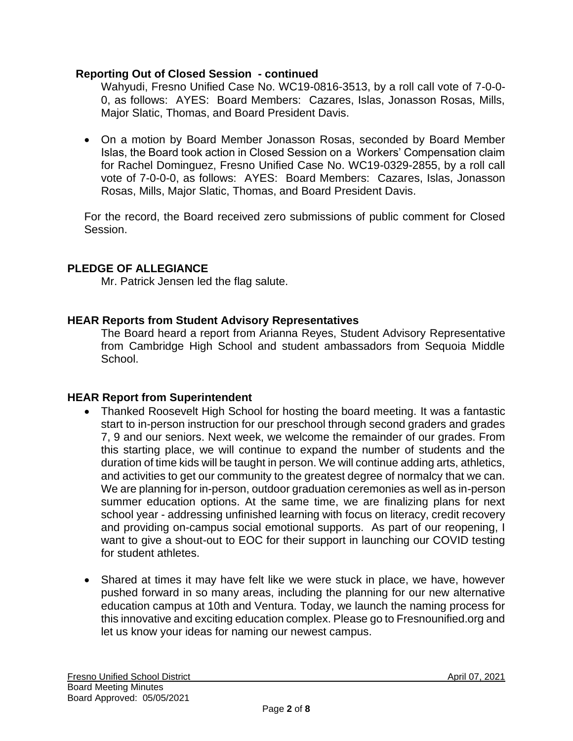### **Reporting Out of Closed Session - continued**

Wahyudi, Fresno Unified Case No. WC19-0816-3513, by a roll call vote of 7-0-0- 0, as follows: AYES: Board Members: Cazares, Islas, Jonasson Rosas, Mills, Major Slatic, Thomas, and Board President Davis.

• On a motion by Board Member Jonasson Rosas, seconded by Board Member Islas, the Board took action in Closed Session on a Workers' Compensation claim for Rachel Dominguez, Fresno Unified Case No. WC19-0329-2855, by a roll call vote of 7-0-0-0, as follows: AYES: Board Members: Cazares, Islas, Jonasson Rosas, Mills, Major Slatic, Thomas, and Board President Davis.

For the record, the Board received zero submissions of public comment for Closed Session.

# **PLEDGE OF ALLEGIANCE**

Mr. Patrick Jensen led the flag salute.

# **HEAR Reports from Student Advisory Representatives**

The Board heard a report from Arianna Reyes, Student Advisory Representative from Cambridge High School and student ambassadors from Sequoia Middle School.

# **HEAR Report from Superintendent**

- Thanked Roosevelt High School for hosting the board meeting. It was a fantastic start to in-person instruction for our preschool through second graders and grades 7, 9 and our seniors. Next week, we welcome the remainder of our grades. From this starting place, we will continue to expand the number of students and the duration of time kids will be taught in person. We will continue adding arts, athletics, and activities to get our community to the greatest degree of normalcy that we can. We are planning for in-person, outdoor graduation ceremonies as well as in-person summer education options. At the same time, we are finalizing plans for next school year - addressing unfinished learning with focus on literacy, credit recovery and providing on-campus social emotional supports. As part of our reopening, I want to give a shout-out to EOC for their support in launching our COVID testing for student athletes.
- Shared at times it may have felt like we were stuck in place, we have, however pushed forward in so many areas, including the planning for our new alternative education campus at 10th and Ventura. Today, we launch the naming process for this innovative and exciting education complex. Please go to Fresnounified.org and let us know your ideas for naming our newest campus.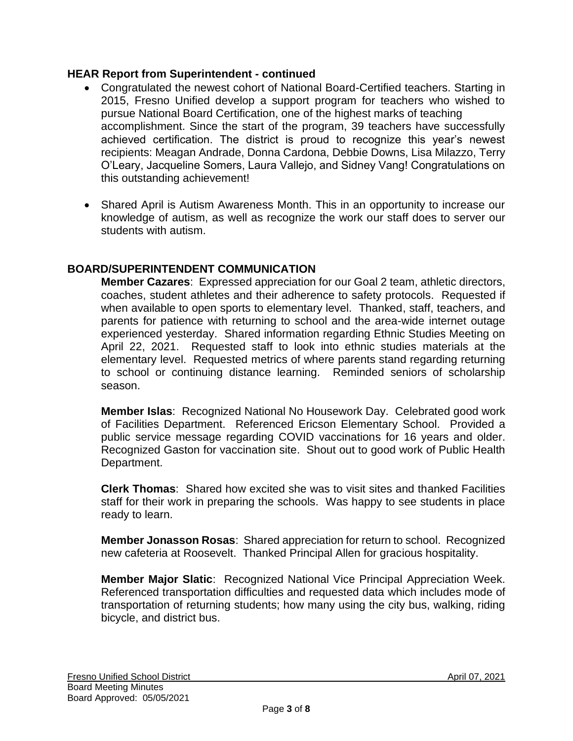# **HEAR Report from Superintendent - continued**

- Congratulated the newest cohort of National Board-Certified teachers. Starting in 2015, Fresno Unified develop a support program for teachers who wished to pursue National Board Certification, one of the highest marks of teaching accomplishment. Since the start of the program, 39 teachers have successfully achieved certification. The district is proud to recognize this year's newest recipients: Meagan Andrade, Donna Cardona, Debbie Downs, Lisa Milazzo, Terry O'Leary, Jacqueline Somers, Laura Vallejo, and Sidney Vang! Congratulations on this outstanding achievement!
- Shared April is Autism Awareness Month. This in an opportunity to increase our knowledge of autism, as well as recognize the work our staff does to server our students with autism.

# **BOARD/SUPERINTENDENT COMMUNICATION**

**Member Cazares**: Expressed appreciation for our Goal 2 team, athletic directors, coaches, student athletes and their adherence to safety protocols. Requested if when available to open sports to elementary level. Thanked, staff, teachers, and parents for patience with returning to school and the area-wide internet outage experienced yesterday. Shared information regarding Ethnic Studies Meeting on April 22, 2021. Requested staff to look into ethnic studies materials at the elementary level. Requested metrics of where parents stand regarding returning to school or continuing distance learning. Reminded seniors of scholarship season.

**Member Islas**: Recognized National No Housework Day. Celebrated good work of Facilities Department. Referenced Ericson Elementary School. Provided a public service message regarding COVID vaccinations for 16 years and older. Recognized Gaston for vaccination site. Shout out to good work of Public Health Department.

**Clerk Thomas**: Shared how excited she was to visit sites and thanked Facilities staff for their work in preparing the schools. Was happy to see students in place ready to learn.

**Member Jonasson Rosas**: Shared appreciation for return to school. Recognized new cafeteria at Roosevelt. Thanked Principal Allen for gracious hospitality.

**Member Major Slatic**: Recognized National Vice Principal Appreciation Week. Referenced transportation difficulties and requested data which includes mode of transportation of returning students; how many using the city bus, walking, riding bicycle, and district bus.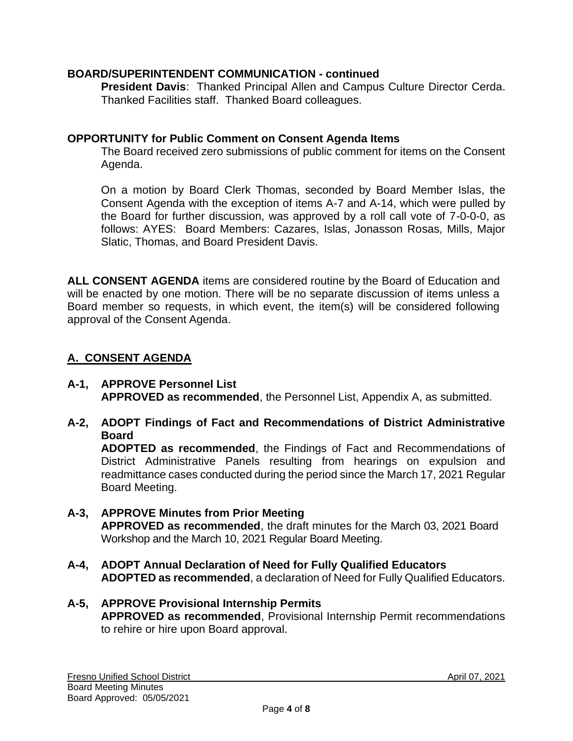# **BOARD/SUPERINTENDENT COMMUNICATION - continued**

**President Davis**: Thanked Principal Allen and Campus Culture Director Cerda. Thanked Facilities staff. Thanked Board colleagues.

### **OPPORTUNITY for Public Comment on Consent Agenda Items**

The Board received zero submissions of public comment for items on the Consent Agenda.

On a motion by Board Clerk Thomas, seconded by Board Member Islas, the Consent Agenda with the exception of items A-7 and A-14, which were pulled by the Board for further discussion, was approved by a roll call vote of 7-0-0-0, as follows: AYES: Board Members: Cazares, Islas, Jonasson Rosas, Mills, Major Slatic, Thomas, and Board President Davis.

**ALL CONSENT AGENDA** items are considered routine by the Board of Education and will be enacted by one motion. There will be no separate discussion of items unless a Board member so requests, in which event, the item(s) will be considered following approval of the Consent Agenda.

# **A. CONSENT AGENDA**

- **A-1, APPROVE Personnel List APPROVED as recommended**, the Personnel List, Appendix A, as submitted.
- **A-2, ADOPT Findings of Fact and Recommendations of District Administrative Board**

**ADOPTED as recommended**, the Findings of Fact and Recommendations of District Administrative Panels resulting from hearings on expulsion and readmittance cases conducted during the period since the March 17, 2021 Regular Board Meeting.

# **A-3, APPROVE Minutes from Prior Meeting APPROVED as recommended**, the draft minutes for the March 03, 2021 Board Workshop and the March 10, 2021 Regular Board Meeting.

**A-4, ADOPT Annual Declaration of Need for Fully Qualified Educators ADOPTED as recommended**, a declaration of Need for Fully Qualified Educators.

#### **A-5, APPROVE Provisional Internship Permits APPROVED as recommended**, Provisional Internship Permit recommendations to rehire or hire upon Board approval.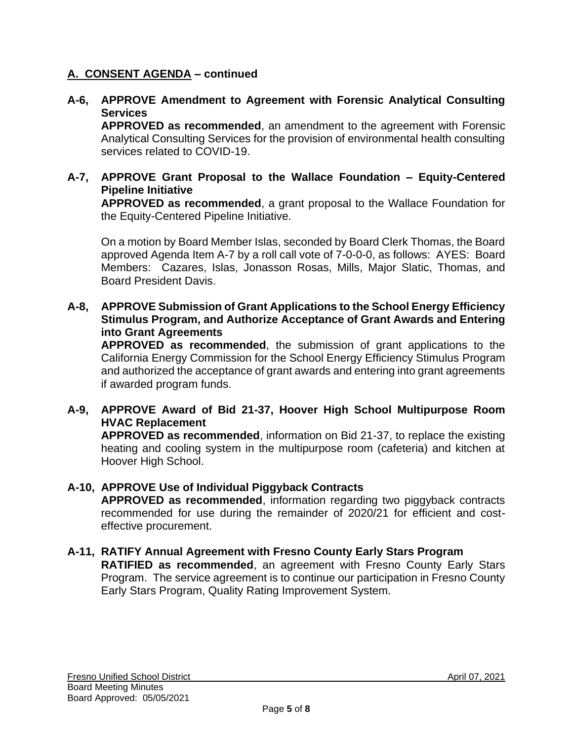# **A. CONSENT AGENDA – continued**

# **A-6, APPROVE Amendment to Agreement with Forensic Analytical Consulting Services**

**APPROVED as recommended**, an amendment to the agreement with Forensic Analytical Consulting Services for the provision of environmental health consulting services related to COVID-19.

### **A-7, APPROVE Grant Proposal to the Wallace Foundation – Equity-Centered Pipeline Initiative**

**APPROVED as recommended**, a grant proposal to the Wallace Foundation for the Equity-Centered Pipeline Initiative.

On a motion by Board Member Islas, seconded by Board Clerk Thomas, the Board approved Agenda Item A-7 by a roll call vote of 7-0-0-0, as follows: AYES: Board Members: Cazares, Islas, Jonasson Rosas, Mills, Major Slatic, Thomas, and Board President Davis.

### **A-8, APPROVE Submission of Grant Applications to the School Energy Efficiency Stimulus Program, and Authorize Acceptance of Grant Awards and Entering into Grant Agreements**

**APPROVED as recommended**, the submission of grant applications to the California Energy Commission for the School Energy Efficiency Stimulus Program and authorized the acceptance of grant awards and entering into grant agreements if awarded program funds.

# **A-9, APPROVE Award of Bid 21-37, Hoover High School Multipurpose Room HVAC Replacement**

**APPROVED as recommended**, information on Bid 21-37, to replace the existing heating and cooling system in the multipurpose room (cafeteria) and kitchen at Hoover High School.

# **A-10, APPROVE Use of Individual Piggyback Contracts**

**APPROVED as recommended**, information regarding two piggyback contracts recommended for use during the remainder of 2020/21 for efficient and costeffective procurement.

#### **A-11, RATIFY Annual Agreement with Fresno County Early Stars Program RATIFIED as recommended**, an agreement with Fresno County Early Stars Program. The service agreement is to continue our participation in Fresno County Early Stars Program, Quality Rating Improvement System.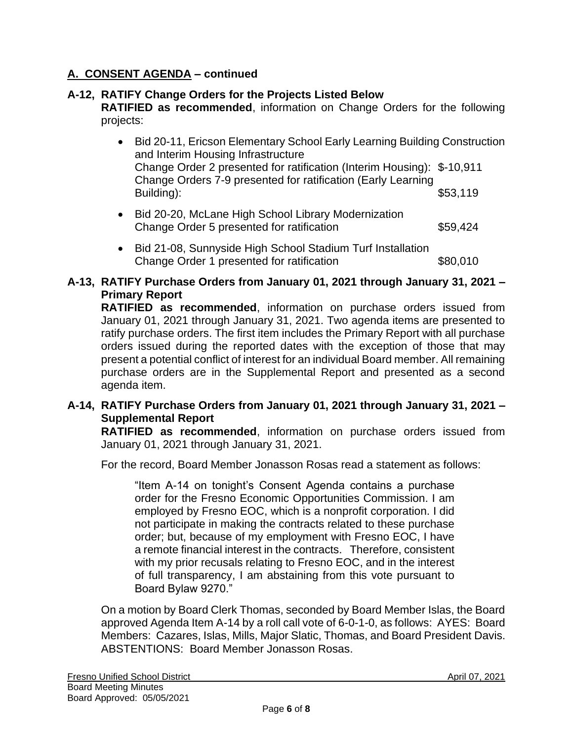# **A. CONSENT AGENDA – continued**

# **A-12, RATIFY Change Orders for the Projects Listed Below**

**RATIFIED as recommended**, information on Change Orders for the following projects:

- Bid 20-11, Ericson Elementary School Early Learning Building Construction and Interim Housing Infrastructure Change Order 2 presented for ratification (Interim Housing): \$-10,911 Change Orders 7-9 presented for ratification (Early Learning Building): \$53,119
- Bid 20-20, McLane High School Library Modernization Change Order 5 presented for ratification  $$59,424$
- Bid 21-08, Sunnyside High School Stadium Turf Installation Change Order 1 presented for ratification  $$80,010$

# **A-13, RATIFY Purchase Orders from January 01, 2021 through January 31, 2021 – Primary Report**

**RATIFIED as recommended**, information on purchase orders issued from January 01, 2021 through January 31, 2021. Two agenda items are presented to ratify purchase orders. The first item includes the Primary Report with all purchase orders issued during the reported dates with the exception of those that may present a potential conflict of interest for an individual Board member. All remaining purchase orders are in the Supplemental Report and presented as a second agenda item.

# **A-14, RATIFY Purchase Orders from January 01, 2021 through January 31, 2021 – Supplemental Report**

**RATIFIED as recommended**, information on purchase orders issued from January 01, 2021 through January 31, 2021.

For the record, Board Member Jonasson Rosas read a statement as follows:

"Item A-14 on tonight's Consent Agenda contains a purchase order for the Fresno Economic Opportunities Commission. I am employed by Fresno EOC, which is a nonprofit corporation. I did not participate in making the contracts related to these purchase order; but, because of my employment with Fresno EOC, I have a remote financial interest in the contracts. Therefore, consistent with my prior recusals relating to Fresno EOC, and in the interest of full transparency, I am abstaining from this vote pursuant to Board Bylaw 9270."

On a motion by Board Clerk Thomas, seconded by Board Member Islas, the Board approved Agenda Item A-14 by a roll call vote of 6-0-1-0, as follows: AYES: Board Members: Cazares, Islas, Mills, Major Slatic, Thomas, and Board President Davis. ABSTENTIONS: Board Member Jonasson Rosas.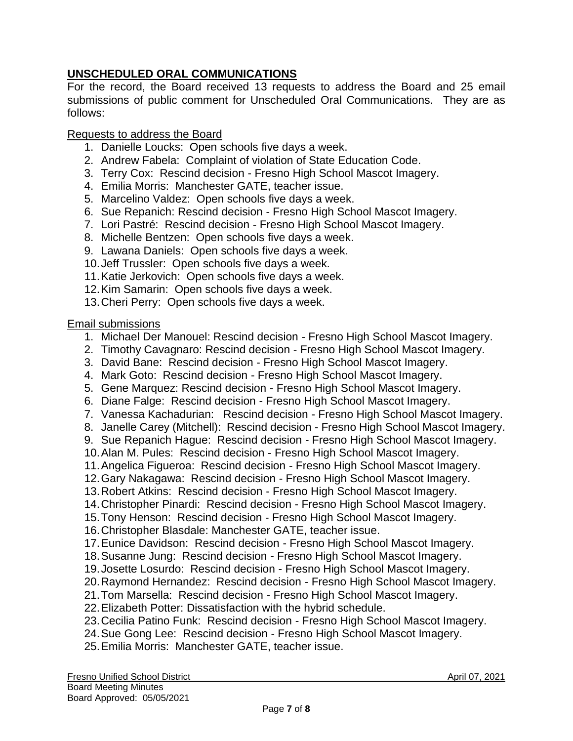# **UNSCHEDULED ORAL COMMUNICATIONS**

For the record, the Board received 13 requests to address the Board and 25 email submissions of public comment for Unscheduled Oral Communications. They are as follows:

# Requests to address the Board

- 1. Danielle Loucks: Open schools five days a week.
- 2. Andrew Fabela: Complaint of violation of State Education Code.
- 3. Terry Cox: Rescind decision Fresno High School Mascot Imagery.
- 4. Emilia Morris: Manchester GATE, teacher issue.
- 5. Marcelino Valdez: Open schools five days a week.
- 6. Sue Repanich: Rescind decision Fresno High School Mascot Imagery.
- 7. Lori Pastré: Rescind decision Fresno High School Mascot Imagery.
- 8. Michelle Bentzen: Open schools five days a week.
- 9. Lawana Daniels: Open schools five days a week.
- 10.Jeff Trussler: Open schools five days a week.
- 11.Katie Jerkovich: Open schools five days a week.
- 12.Kim Samarin: Open schools five days a week.
- 13.Cheri Perry: Open schools five days a week.

# Email submissions

- 1. Michael Der Manouel: Rescind decision Fresno High School Mascot Imagery.
- 2. Timothy Cavagnaro: Rescind decision Fresno High School Mascot Imagery.
- 3. David Bane: Rescind decision Fresno High School Mascot Imagery.
- 4. Mark Goto: Rescind decision Fresno High School Mascot Imagery.
- 5. Gene Marquez: Rescind decision Fresno High School Mascot Imagery.
- 6. Diane Falge: Rescind decision Fresno High School Mascot Imagery.
- 7. Vanessa Kachadurian: Rescind decision Fresno High School Mascot Imagery.
- 8. Janelle Carey (Mitchell): Rescind decision Fresno High School Mascot Imagery.
- 9. Sue Repanich Hague: Rescind decision Fresno High School Mascot Imagery.
- 10.Alan M. Pules: Rescind decision Fresno High School Mascot Imagery.
- 11.Angelica Figueroa: Rescind decision Fresno High School Mascot Imagery.
- 12.Gary Nakagawa: Rescind decision Fresno High School Mascot Imagery.
- 13.Robert Atkins: Rescind decision Fresno High School Mascot Imagery.
- 14.Christopher Pinardi: Rescind decision Fresno High School Mascot Imagery.
- 15.Tony Henson: Rescind decision Fresno High School Mascot Imagery.
- 16.Christopher Blasdale: Manchester GATE, teacher issue.
- 17.Eunice Davidson: Rescind decision Fresno High School Mascot Imagery.
- 18.Susanne Jung: Rescind decision Fresno High School Mascot Imagery.
- 19.Josette Losurdo: Rescind decision Fresno High School Mascot Imagery.
- 20.Raymond Hernandez: Rescind decision Fresno High School Mascot Imagery.
- 21.Tom Marsella: Rescind decision Fresno High School Mascot Imagery.
- 22.Elizabeth Potter: Dissatisfaction with the hybrid schedule.
- 23.Cecilia Patino Funk: Rescind decision Fresno High School Mascot Imagery.
- 24.Sue Gong Lee: Rescind decision Fresno High School Mascot Imagery.
- 25.Emilia Morris: Manchester GATE, teacher issue.